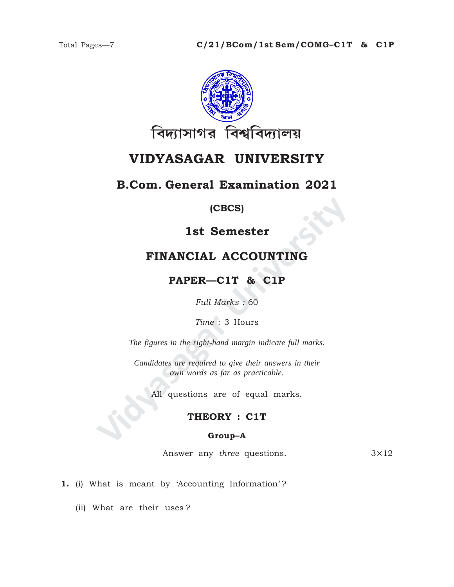

# VIDYASAGAR UNIVERSITY

## **B.Com. General Examination 2021**

(CBCS)

1st Semester

## FINANCIAL ACCOUNTING

PAPER-C1T & C1P

Full Marks: 60

Time: 3 Hours

The figures in the right-hand margin indicate full marks.

Candidates are required to give their answers in their own words as far as practicable.

All questions are of equal marks.

## THEORY : C1T

#### Group-A

Answer any three questions.  $3\times12$ 

1. (i) What is meant by 'Accounting Information'?

(ii) What are their uses?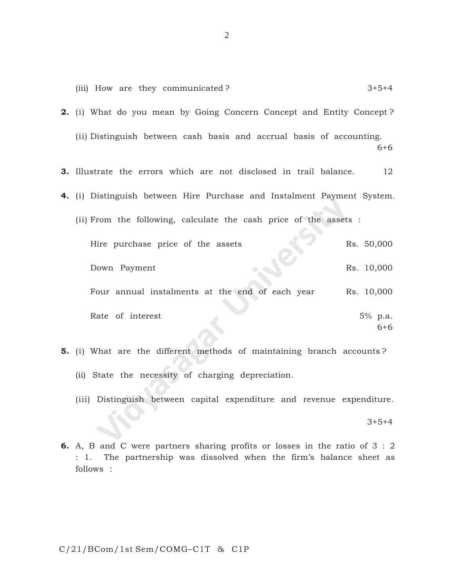| (iii) How are they communicated?<br>$3+5+4$                                                                          |
|----------------------------------------------------------------------------------------------------------------------|
| 2. (i) What do you mean by Going Concern Concept and Entity Concept?                                                 |
| (ii) Distinguish between cash basis and accrual basis of accounting.<br>$6 + 6$                                      |
| <b>3.</b> Illustrate the errors which are not disclosed in trail balance.<br>12                                      |
| 4. (i) Distinguish between Hire Purchase and Instalment Payment System.                                              |
| (ii) From the following, calculate the cash price of the assets :                                                    |
| Hire purchase price of the assets<br>Rs. 50,000                                                                      |
| Rs. 10,000<br>Down Payment                                                                                           |
| Four annual instalments at the end of each year<br>Rs. 10,000                                                        |
| Rate of interest<br>5% p.a.<br>$6 + 6$                                                                               |
| 5. (i) What are the different methods of maintaining branch accounts?                                                |
| (ii) State the necessity of charging depreciation.                                                                   |
| (iii) Distinguish between capital expenditure and revenue expenditure.                                               |
| $3+5+4$                                                                                                              |
| an ana salasantaran nanaftar san Jararara dan alar maatan<br>$\cdot$ $\cdot$ $\cdot$ $\cdot$ $\cdot$ $\cdot$ $\cdot$ |

- **5.** (i) What are the different methods of maintaining branch accounts ? (ii) State the necessity of charging depreciation.
	- (iii) Distinguish between capital expenditure and revenue expenditure.

**6.** A, B and C were partners sharing profits or losses in the ratio of 3 : 2 : 1. The partnership was dissolved when the firm's balance sheet as follows :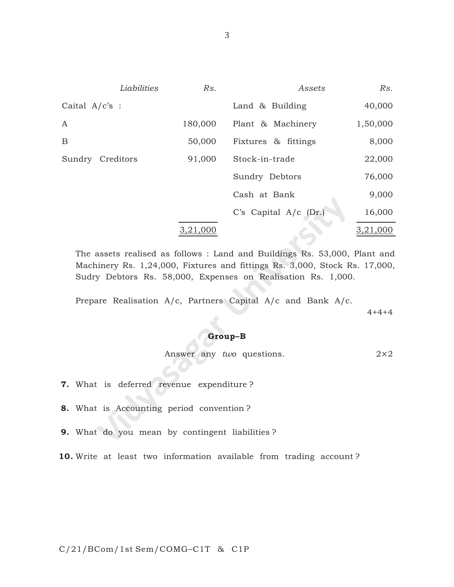|                  | Liabilities                                    | Rs.             | Assets                                                                                                                                                                                                                                                                                | Rs.             |  |  |  |  |
|------------------|------------------------------------------------|-----------------|---------------------------------------------------------------------------------------------------------------------------------------------------------------------------------------------------------------------------------------------------------------------------------------|-----------------|--|--|--|--|
| Caital A/c's :   |                                                |                 | Land & Building                                                                                                                                                                                                                                                                       | 40,000          |  |  |  |  |
| A                |                                                | 180,000         | Plant & Machinery                                                                                                                                                                                                                                                                     | 1,50,000        |  |  |  |  |
| B                |                                                | 50,000          | Fixtures & fittings                                                                                                                                                                                                                                                                   | 8,000           |  |  |  |  |
| Sundry Creditors |                                                | 91,000          | Stock-in-trade                                                                                                                                                                                                                                                                        | 22,000          |  |  |  |  |
|                  |                                                |                 | Sundry Debtors                                                                                                                                                                                                                                                                        | 76,000          |  |  |  |  |
|                  |                                                |                 | Cash at Bank                                                                                                                                                                                                                                                                          | 9,000           |  |  |  |  |
|                  |                                                |                 | C's Capital A/c (Dr.)                                                                                                                                                                                                                                                                 | 16,000          |  |  |  |  |
|                  |                                                | <u>3,21,000</u> |                                                                                                                                                                                                                                                                                       | <u>3,21,000</u> |  |  |  |  |
|                  |                                                |                 | The assets realised as follows: Land and Buildings Rs. 53,000, Plant and<br>Machinery Rs. 1,24,000, Fixtures and fittings Rs. 3,000, Stock Rs. 17,000,<br>Sudry Debtors Rs. 58,000, Expenses on Realisation Rs. 1,000.<br>Prepare Realisation A/c, Partners Capital A/c and Bank A/c. | $4 + 4 + 4$     |  |  |  |  |
| Group-B          |                                                |                 |                                                                                                                                                                                                                                                                                       |                 |  |  |  |  |
|                  |                                                |                 | Answer any two questions.                                                                                                                                                                                                                                                             | $2\times 2$     |  |  |  |  |
|                  | 7. What is deferred revenue expenditure?       |                 |                                                                                                                                                                                                                                                                                       |                 |  |  |  |  |
|                  | 8. What is Accounting period convention?       |                 |                                                                                                                                                                                                                                                                                       |                 |  |  |  |  |
|                  | 9. What do you mean by contingent liabilities? |                 |                                                                                                                                                                                                                                                                                       |                 |  |  |  |  |

#### **Group–B**

```
Answer any two questions. 2×2
```
- **7.** What is deferred revenue expenditure?
- **8.** What is Accounting period convention ?
- **9.** What do you mean by contingent liabilities ?
- **10.** Write at least two information available from trading account ?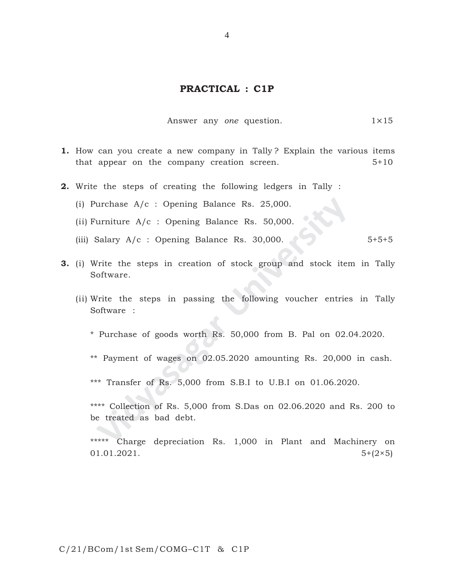#### **PRACTICAL : C1P**

Answer any *one* question. 1×15

- **1.** How can you create a new company in Tally ? Explain the various items that appear on the company creation screen. 5+10
- **2.** Write the steps of creating the following ledgers in Tally :
	- (i) Purchase A/c : Opening Balance Rs. 25,000.
	- (ii) Furniture A/c : Opening Balance Rs. 50,000.
	- (iii) Salary  $A/c$  : Opening Balance Rs. 30,000.  $\sim$  5+5+5
- urchase A/c : Opening Balance Rs. 25,000.<br>
urniture A/c : Opening Balance Rs. 50,000.<br>
Salary A/c : Opening Balance Rs. 30,000.<br>
Trite the steps in creation of stock group and stock iter<br>
oftware .<br>
Trite the steps in pass **3.** (i) Write the steps in creation of stock group and stock item in Tally Software.
	- (ii) Write the steps in passing the following voucher entries in Tally Software :
		- \* Purchase of goods worth Rs. 50,000 from B. Pal on 02.04.2020.
		- \*\* Payment of wages on 02.05.2020 amounting Rs. 20,000 in cash.

\*\*\* Transfer of Rs. 5,000 from S.B.I to U.B.I on 01.06.2020.

\*\*\*\* Collection of Rs. 5,000 from S.Das on 02.06.2020 and Rs. 200 to be treated as bad debt.

\*\*\*\*\* Charge depreciation Rs. 1,000 in Plant and Machinery on  $01.01.2021.$   $5+(2\times5)$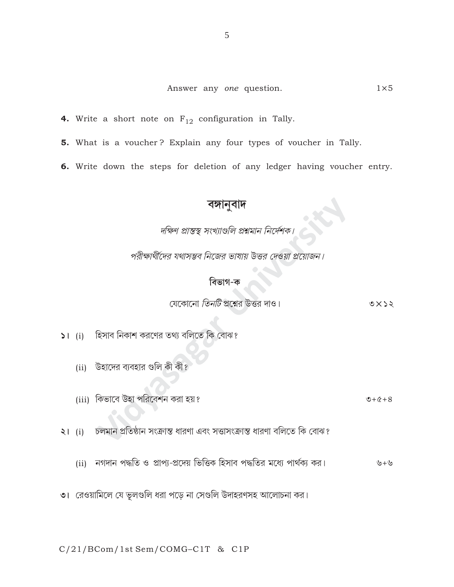- 4. Write a short note on  $F_{12}$  configuration in Tally.
- 5. What is a voucher? Explain any four types of voucher in Tally.
- 6. Write down the steps for deletion of any ledger having voucher entry.

**বঙ্গানুবাদ**<br>দক্ষিণ প্রান্তস্থ সংখ্যাগুলি প্রশ্নমান নির্দেশক।

পরীক্ষার্থীদের যথাসম্ভব নিজের ভাষায় উত্তর দেওয়া প্রয়োজন।

## বিভাগ-ক

#### যেকোনো *তিনটি* প্রশ্নের উত্তর দাও।  $0x$

- 51 (i) হিসাব নিকাশ করণের তথ্য বলিতে কি বোঝ?
	- (ii) উহাদের ব্যবহার গুলি কী কী?
	- (iii) কিভাবে উহা পরিবেশন করা হয়?

 $9 + 6 + 8$ 

- ২। (i) চলমান প্রতিষ্ঠান সংক্রান্ত ধারণা এবং সত্তাসংক্রান্ত ধারণা বলিতে কি বোঝ?
	- (ii) নগদান পদ্ধতি ও প্রাপ্য-প্রদেয় ভিত্তিক হিসাব পদ্ধতির মধ্যে পার্থক্য কর।  $\forall +\forall$
- ৩। রেওয়ামিলে যে ভূলগুলি ধরা পড়ে না সেগুলি উদাহরণসহ আলোচনা কর।

C/21/BCom/1st Sem/COMG-C1T & C1P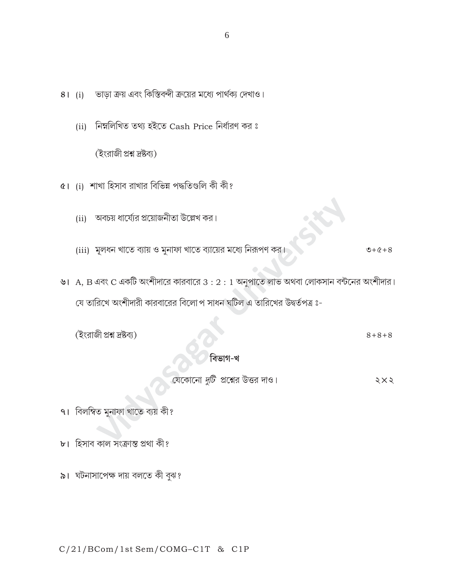6

- 8। (i) ভাড়া ক্রয় এবং কিস্তিবন্দী ক্রয়ের মধ্যে পার্থক্য দেখাও।
	- (ii) নিম্নলিখিত তথ্য হইতে Cash Price নিৰ্ধারণ কর ঃ

(ইংরাজী প্রশ্ন দ্রষ্টব্য)

- ৫। (i) শাখা হিসাব রাখার বিভিন্ন পদ্ধতিগুলি কী কী?
	- (ii) অবচয় ধার্য্যের প্রয়োজনীতা উল্লেখ কর।
	- (iii) মূলধন খাতে ব্যায় ও মুনাফা খাতে ব্যায়ের মধ্যে নিরূপণ কর।  $0 + 6 + 8$
- ৬।  $\,$  A,  $\,$  B এবং  $\,$  C একটি অংশীদারে কারবারে  $3:2:1$  অনুপাতে লাভ অথবা লোকসান বন্টনের অংশীদার। যে তারিখে অংশীদারী কারবারের বিলো প সাধন ঘটিল এ তারিখের উদ্বর্তপত্র ঃ-

(ইংরাজী প্রশ্ন দ্রষ্টব্য)

 $8 + 8 + 8$ 

#### বিভাগ-খ

যেকোনো *দুটি* প্রশ্নের উত্তর দাও।  $5 × 5$ 

- ৭। বিলম্বিত মুনাফা খাতে ব্যয় কী?
- ৮। হিসাব কাল সংক্রান্ত প্রথা কী?
- ৯। ঘটনাসাপেক্ষ দায় বলতে কী বুঝ?

C/21/BCom/1st Sem/COMG-C1T & C1P